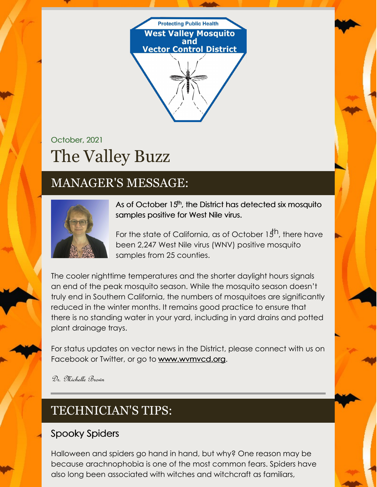

# October, 2021 The Valley Buzz

## MANAGER'S MESSAGE:



As of October 15<sup>th</sup>, the District has detected six mosquito samples positive for West Nile virus.

For the state of California, as of October 15<sup>th</sup>, there have been 2,247 West Nile virus (WNV) positive mosquito samples from 25 counties.

The cooler nighttime temperatures and the shorter daylight hours signals an end of the peak mosquito season. While the mosquito season doesn't truly end in Southern California, the numbers of mosquitoes are significantly reduced in the winter months. It remains good practice to ensure that there is no standing water in your yard, including in yard drains and potted plant drainage trays.

For status updates on vector news in the District, please connect with us on Facebook or Twitter, or go to [www.wvmvcd.org](http://www.wvmvcd.org).

Dr. Michelle Brown

## TECHNICIAN'S TIPS:

#### Spooky Spiders

Halloween and spiders go hand in hand, but why? One reason may be because arachnophobia is one of the most common fears. Spiders have also long been associated with witches and witchcraft as familiars,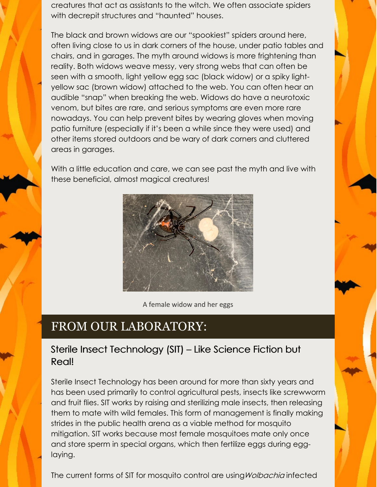creatures that act as assistants to the witch. We often associate spiders with decrepit structures and "haunted" houses.

The black and brown widows are our "spookiest" spiders around here, often living close to us in dark corners of the house, under patio tables and chairs, and in garages. The myth around widows is more frightening than reality. Both widows weave messy, very strong webs that can often be seen with a smooth, light yellow egg sac (black widow) or a spiky lightyellow sac (brown widow) attached to the web. You can often hear an audible "snap" when breaking the web. Widows do have a neurotoxic venom, but bites are rare, and serious symptoms are even more rare nowadays. You can help prevent bites by wearing gloves when moving patio furniture (especially if it's been a while since they were used) and other items stored outdoors and be wary of dark corners and cluttered areas in garages.

With a little education and care, we can see past the myth and live with these beneficial, almost magical creatures!



A female widow and her eggs

### FROM OUR LABORATORY:

#### Sterile Insect Technology (SIT) – Like Science Fiction but Real!

Sterile Insect Technology has been around for more than sixty years and has been used primarily to control agricultural pests, insects like screwworm and fruit flies. SIT works by raising and sterilizing male insects, then releasing them to mate with wild females. This form of management is finally making strides in the public health arena as a viable method for mosquito mitigation. SIT works because most female mosquitoes mate only once and store sperm in special organs, which then fertilize eggs during egglaying.

The current forms of SIT for mosquito control are using Wolbachia infected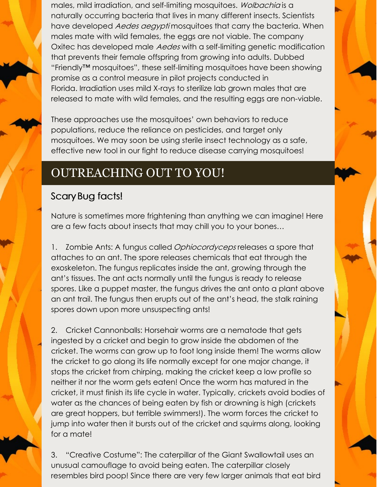males, mild irradiation, and self-limiting mosquitoes. Wolbachia is a naturally occurring bacteria that lives in many different insects. Scientists have developed *Aedes aegypti* mosquitoes that carry the bacteria. When males mate with wild females, the eggs are not viable. The company Oxitec has developed male Aedes with a self-limiting genetic modification that prevents their female offspring from growing into adults. Dubbed "Friendly™ mosquitoes", these self-limiting mosquitoes have been showing promise as a control measure in pilot projects conducted in Florida. Irradiation uses mild X-rays to sterilize lab grown males that are released to mate with wild females, and the resulting eggs are non-viable.

These approaches use the mosquitoes' own behaviors to reduce populations, reduce the reliance on pesticides, and target only mosquitoes. We may soon be using sterile insect technology as a safe, effective new tool in our fight to reduce disease carrying mosquitoes!

## OUTREACHING OUT TO YOU!

#### ScaryBug facts!

Nature is sometimes more frightening than anything we can imagine! Here are a few facts about insects that may chill you to your bones…

1. Zombie Ants: A fungus called *Ophiocordyceps* releases a spore that attaches to an ant. The spore releases chemicals that eat through the exoskeleton. The fungus replicates inside the ant, growing through the ant's tissues. The ant acts normally until the fungus is ready to release spores. Like a puppet master, the fungus drives the ant onto a plant above an ant trail. The fungus then erupts out of the ant's head, the stalk raining spores down upon more unsuspecting ants!

2. Cricket Cannonballs: Horsehair worms are a nematode that gets ingested by a cricket and begin to grow inside the abdomen of the cricket. The worms can grow up to foot long inside them! The worms allow the cricket to go along its life normally except for one major change, it stops the cricket from chirping, making the cricket keep a low profile so neither it nor the worm gets eaten! Once the worm has matured in the cricket, it must finish its life cycle in water. Typically, crickets avoid bodies of water as the chances of being eaten by fish or drowning is high (crickets are great hoppers, but terrible swimmers!). The worm forces the cricket to jump into water then it bursts out of the cricket and squirms along, looking for a mate!

3. "Creative Costume": The caterpillar of the Giant Swallowtail uses an unusual camouflage to avoid being eaten. The caterpillar closely resembles bird poop! Since there are very few larger animals that eat bird